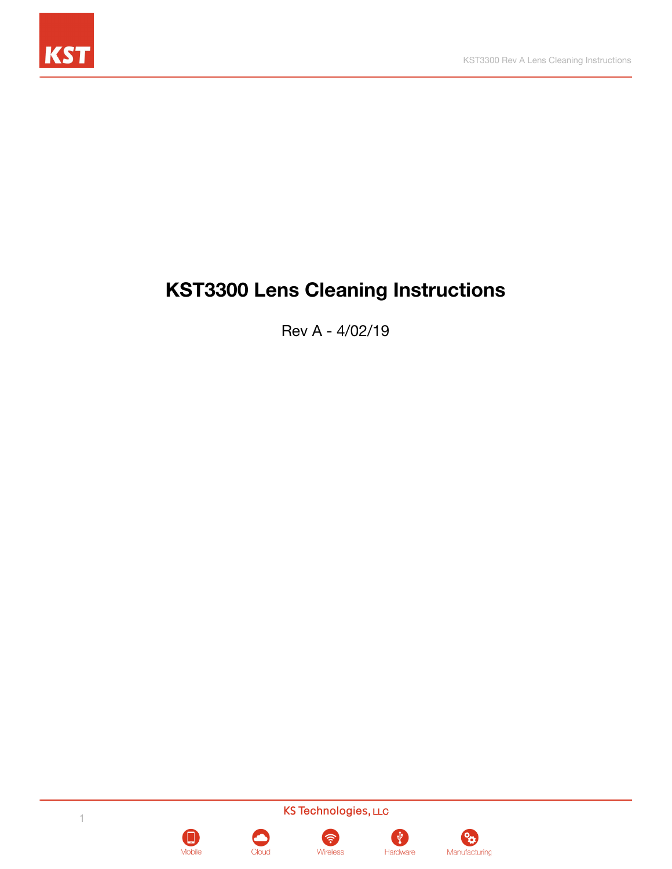

# **KST3300 Lens Cleaning Instructions**

Rev A - 4/02/19









Wireless



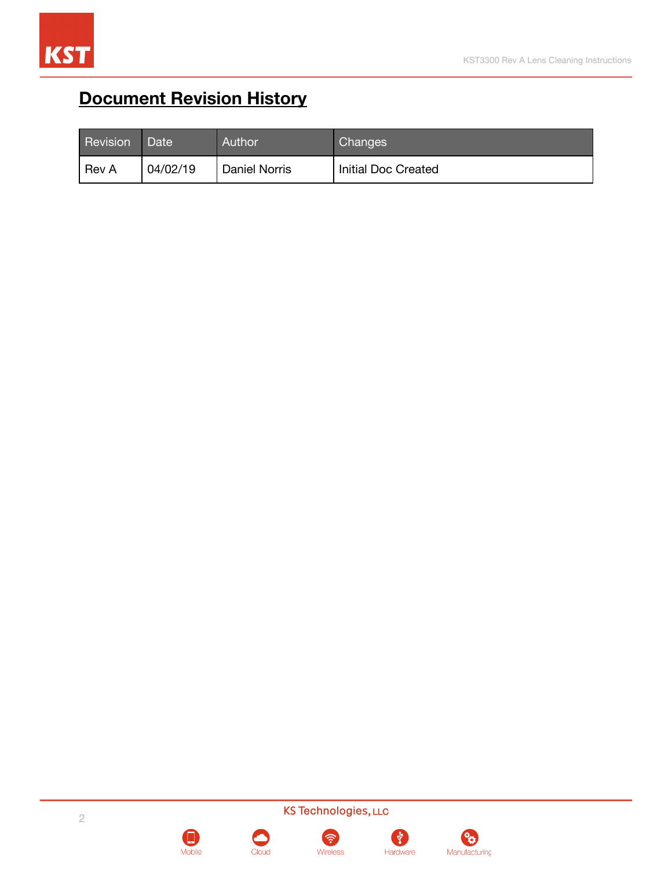

# <span id="page-1-0"></span>**Document Revision History**

| Revision     | <b>Date</b> | Author               | <b>Changes</b>      |
|--------------|-------------|----------------------|---------------------|
| <b>Rev A</b> | 04/02/19    | <b>Daniel Norris</b> | Initial Doc Created |

KS Technologies, LLC



Mobile



ಿಂ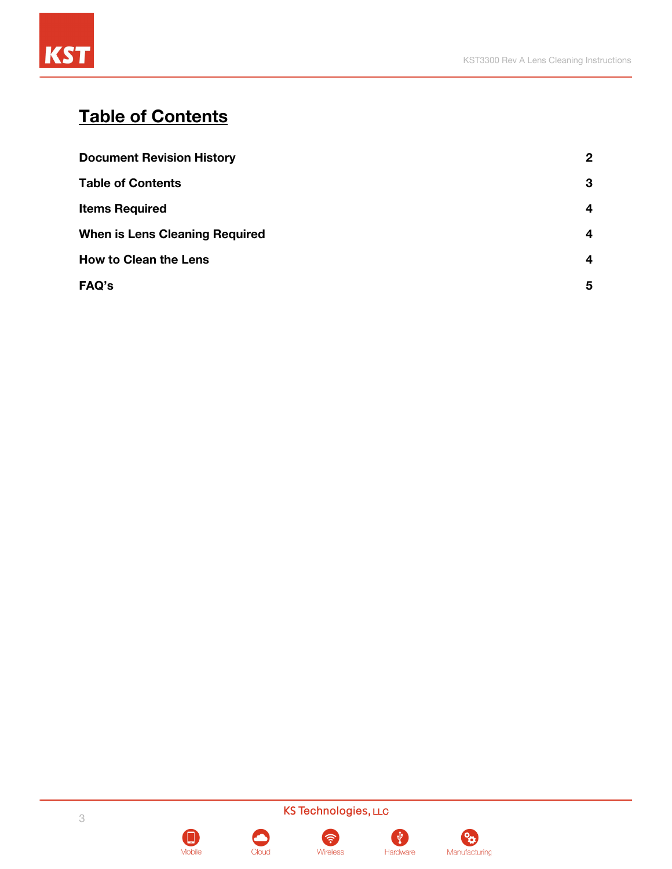

## <span id="page-2-0"></span>**Table of Contents**

| <b>Document Revision History</b>      | $\mathbf{2}$ |  |
|---------------------------------------|--------------|--|
| <b>Table of Contents</b>              | 3            |  |
| <b>Items Required</b>                 | 4            |  |
| <b>When is Lens Cleaning Required</b> | 4            |  |
| <b>How to Clean the Lens</b>          |              |  |
| FAQ's                                 | 5            |  |



Mobile





Wireless



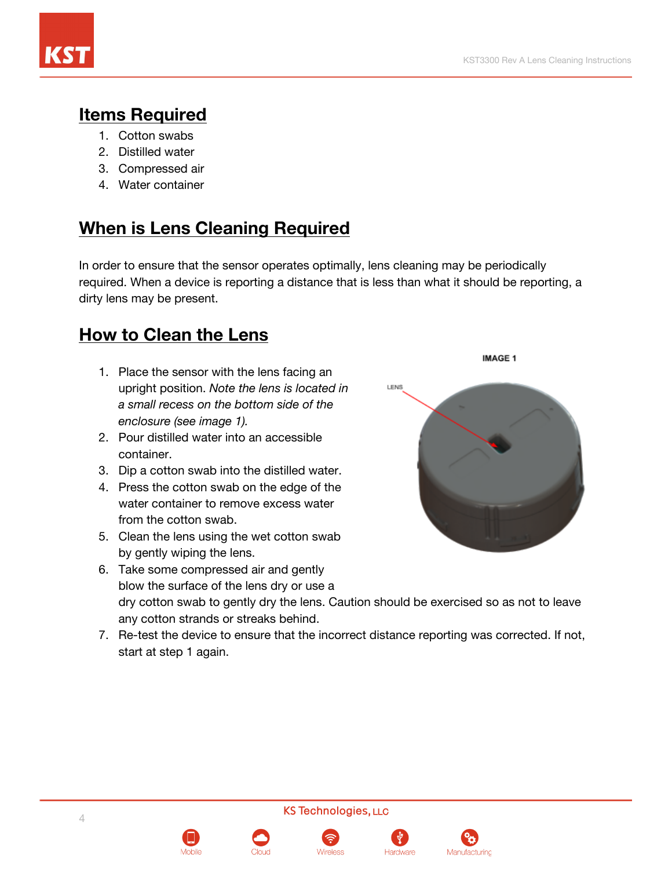

### <span id="page-3-0"></span>**Items Required**

- 1. Cotton swabs
- 2. Distilled water
- 3. Compressed air
- 4. Water container

### <span id="page-3-1"></span>**When is Lens Cleaning Required**

In order to ensure that the sensor operates optimally, lens cleaning may be periodically required. When a device is reporting a distance that is less than what it should be reporting, a dirty lens may be present.

### <span id="page-3-2"></span>**How to Clean the Lens**

- 1. Place the sensor with the lens facing an upright position. *Note the lens is located in a small recess on the bottom side of the enclosure (see image 1).*
- 2. Pour distilled water into an accessible container.
- 3. Dip a cotton swab into the distilled water.
- 4. Press the cotton swab on the edge of the water container to remove excess water from the cotton swab.
- 5. Clean the lens using the wet cotton swab by gently wiping the lens.



IMAGE 1

- 6. Take some compressed air and gently blow the surface of the lens dry or use a dry cotton swab to gently dry the lens. Caution should be exercised so as not to leave any cotton strands or streaks behind.
- 7. Re-test the device to ensure that the incorrect distance reporting was corrected. If not, start at step 1 again.

**KS Technologies, LLC**